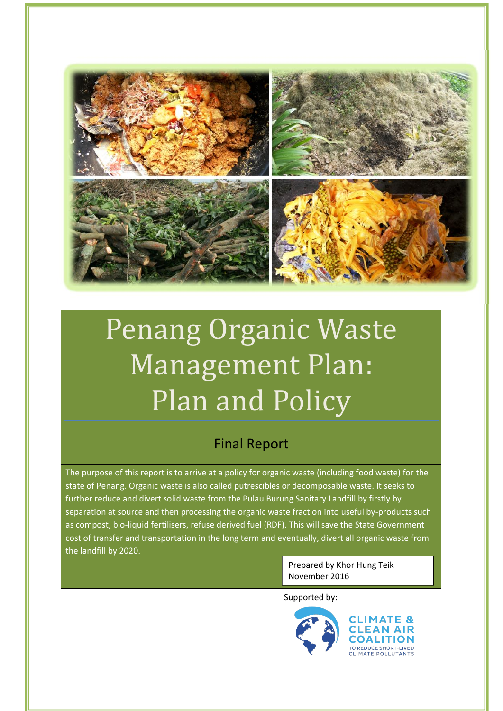

# Penang Organic Waste Management Plan: Plan and Policy

# Final Report

The purpose of this report is to arrive at a policy for organic waste (including food waste) for the state of Penang. Organic waste is also called putrescibles or decomposable waste. It seeks to further reduce and divert solid waste from the Pulau Burung Sanitary Landfill by firstly by separation at source and then processing the organic waste fraction into useful by-products such as compost, bio-liquid fertilisers, refuse derived fuel (RDF). This will save the State Government cost of transfer and transportation in the long term and eventually, divert all organic waste from the landfill by 2020.

> Prepared by Khor Hung Teik November 2016

Supported by:

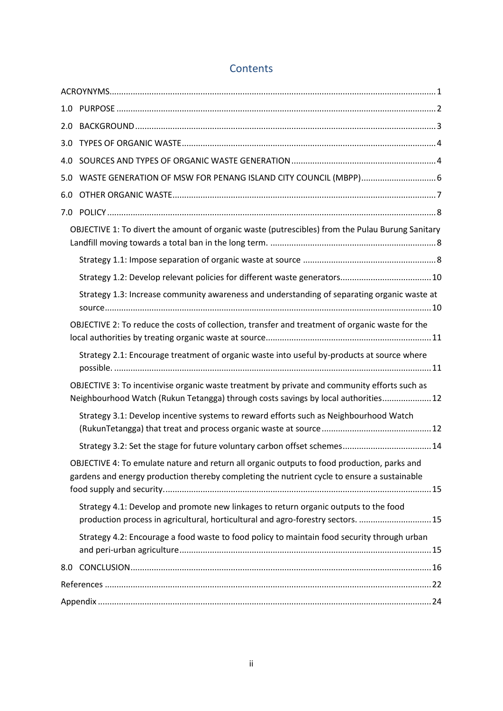| 2.0 |                                                                                                                                                                                            |  |
|-----|--------------------------------------------------------------------------------------------------------------------------------------------------------------------------------------------|--|
|     |                                                                                                                                                                                            |  |
|     |                                                                                                                                                                                            |  |
| 5.0 |                                                                                                                                                                                            |  |
| 6.0 |                                                                                                                                                                                            |  |
|     |                                                                                                                                                                                            |  |
|     | OBJECTIVE 1: To divert the amount of organic waste (putrescibles) from the Pulau Burung Sanitary                                                                                           |  |
|     |                                                                                                                                                                                            |  |
|     |                                                                                                                                                                                            |  |
|     | Strategy 1.3: Increase community awareness and understanding of separating organic waste at                                                                                                |  |
|     | OBJECTIVE 2: To reduce the costs of collection, transfer and treatment of organic waste for the                                                                                            |  |
|     | Strategy 2.1: Encourage treatment of organic waste into useful by-products at source where                                                                                                 |  |
|     | OBJECTIVE 3: To incentivise organic waste treatment by private and community efforts such as<br>Neighbourhood Watch (Rukun Tetangga) through costs savings by local authorities 12         |  |
|     | Strategy 3.1: Develop incentive systems to reward efforts such as Neighbourhood Watch                                                                                                      |  |
|     |                                                                                                                                                                                            |  |
|     | OBJECTIVE 4: To emulate nature and return all organic outputs to food production, parks and<br>gardens and energy production thereby completing the nutrient cycle to ensure a sustainable |  |
|     | Strategy 4.1: Develop and promote new linkages to return organic outputs to the food<br>production process in agricultural, horticultural and agro-forestry sectors.  15                   |  |
|     | Strategy 4.2: Encourage a food waste to food policy to maintain food security through urban                                                                                                |  |
| 8.0 |                                                                                                                                                                                            |  |
|     |                                                                                                                                                                                            |  |
|     |                                                                                                                                                                                            |  |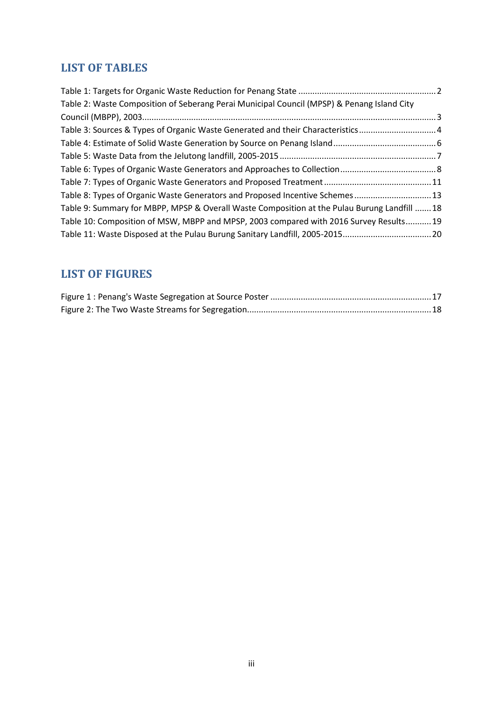# **LIST OF TABLES**

| Table 2: Waste Composition of Seberang Perai Municipal Council (MPSP) & Penang Island City  |  |
|---------------------------------------------------------------------------------------------|--|
|                                                                                             |  |
| Table 3: Sources & Types of Organic Waste Generated and their Characteristics4              |  |
|                                                                                             |  |
|                                                                                             |  |
|                                                                                             |  |
|                                                                                             |  |
| Table 8: Types of Organic Waste Generators and Proposed Incentive Schemes 13                |  |
| Table 9: Summary for MBPP, MPSP & Overall Waste Composition at the Pulau Burung Landfill 18 |  |
| Table 10: Composition of MSW, MBPP and MPSP, 2003 compared with 2016 Survey Results19       |  |
| Table 11: Waste Disposed at the Pulau Burung Sanitary Landfill, 2005-201520                 |  |

# **LIST OF FIGURES**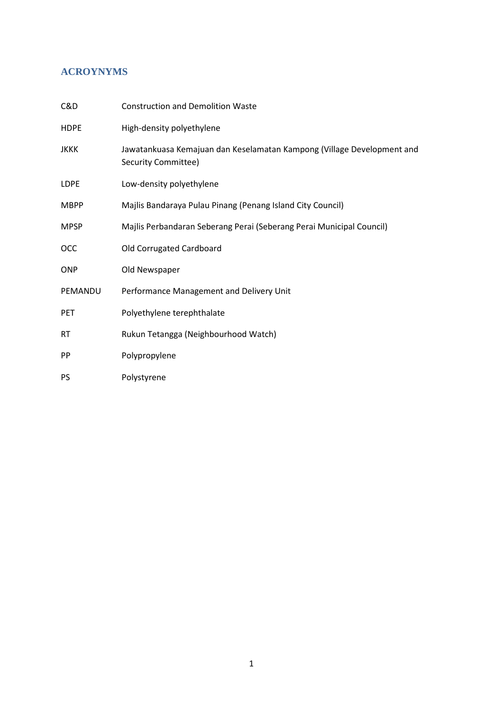# **ACROYNYMS**

| C&D         | <b>Construction and Demolition Waste</b>                                                      |
|-------------|-----------------------------------------------------------------------------------------------|
| <b>HDPE</b> | High-density polyethylene                                                                     |
| <b>JKKK</b> | Jawatankuasa Kemajuan dan Keselamatan Kampong (Village Development and<br>Security Committee) |
| LDPE        | Low-density polyethylene                                                                      |
| <b>MBPP</b> | Majlis Bandaraya Pulau Pinang (Penang Island City Council)                                    |
| <b>MPSP</b> | Majlis Perbandaran Seberang Perai (Seberang Perai Municipal Council)                          |
| <b>OCC</b>  | Old Corrugated Cardboard                                                                      |
| <b>ONP</b>  | Old Newspaper                                                                                 |
| PEMANDU     | Performance Management and Delivery Unit                                                      |
| <b>PET</b>  | Polyethylene terephthalate                                                                    |
| <b>RT</b>   | Rukun Tetangga (Neighbourhood Watch)                                                          |
| <b>PP</b>   | Polypropylene                                                                                 |
| <b>PS</b>   | Polystyrene                                                                                   |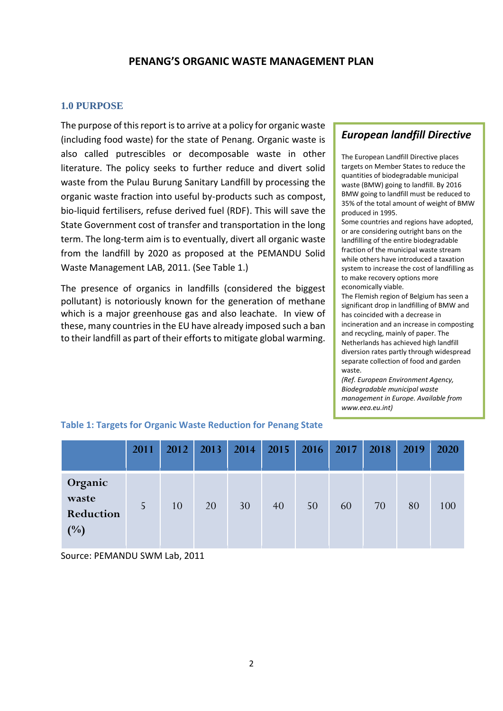# **PENANG'S ORGANIC WASTE MANAGEMENT PLAN**

#### **1.0 PURPOSE**

The purpose of this report is to arrive at a policy for organic waste (including food waste) for the state of Penang. Organic waste is also called putrescibles or decomposable waste in other literature. The policy seeks to further reduce and divert solid waste from the Pulau Burung Sanitary Landfill by processing the organic waste fraction into useful by-products such as compost, bio-liquid fertilisers, refuse derived fuel (RDF). This will save the State Government cost of transfer and transportation in the long term. The long-term aim is to eventually, divert all organic waste from the landfill by 2020 as proposed at the PEMANDU Solid Waste Management LAB, 2011. (See Table 1.)

The presence of organics in landfills (considered the biggest pollutant) is notoriously known for the generation of methane which is a major greenhouse gas and also leachate. In view of these, many countries in the EU have already imposed such a ban to their landfill as part of their efforts to mitigate global warming.

# *European landfill Directive*

The European Landfill Directive places targets on Member States to reduce the quantities of biodegradable municipal waste (BMW) going to landfill. By 2016 BMW going to landfill must be reduced to 35% of the total amount of weight of BMW produced in 1995.

Some countries and regions have adopted, or are considering outright bans on the landfilling of the entire biodegradable fraction of the municipal waste stream while others have introduced a taxation system to increase the cost of landfilling as to make recovery options more economically viable.

The Flemish region of Belgium has seen a significant drop in landfilling of BMW and has coincided with a decrease in incineration and an increase in composting and recycling, mainly of paper. The Netherlands has achieved high landfill diversion rates partly through widespread separate collection of food and garden waste.

*(Ref. European Environment Agency, Biodegradable municipal waste management in Europe. Available from www.eea.eu.int)*

|                                      | 2011 | 2012 | 2013 | 2014 | 2015 |    | $2016$ 2017 | 2018 | 2019 | 2020 |
|--------------------------------------|------|------|------|------|------|----|-------------|------|------|------|
| Organic<br>waste<br>Reduction<br>(%) | 5    | 10   | 20   | 30   | 40   | 50 | 60          | 70   | 80   | 100  |

#### **Table 1: Targets for Organic Waste Reduction for Penang State**

Source: PEMANDU SWM Lab, 2011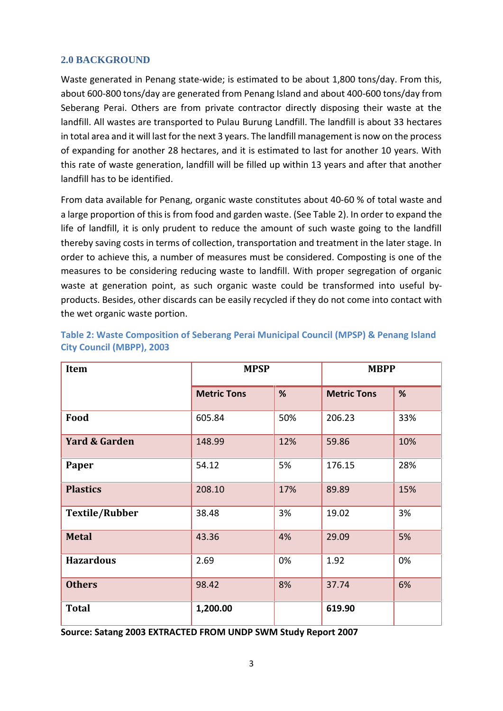# **2.0 BACKGROUND**

Waste generated in Penang state-wide; is estimated to be about 1,800 tons/day. From this, about 600-800 tons/day are generated from Penang Island and about 400-600 tons/day from Seberang Perai. Others are from private contractor directly disposing their waste at the landfill. All wastes are transported to Pulau Burung Landfill. The landfill is about 33 hectares in total area and it will last for the next 3 years. The landfill management is now on the process of expanding for another 28 hectares, and it is estimated to last for another 10 years. With this rate of waste generation, landfill will be filled up within 13 years and after that another landfill has to be identified.

From data available for Penang, organic waste constitutes about 40-60 % of total waste and a large proportion of this is from food and garden waste. (See Table 2). In order to expand the life of landfill, it is only prudent to reduce the amount of such waste going to the landfill thereby saving costs in terms of collection, transportation and treatment in the later stage. In order to achieve this, a number of measures must be considered. Composting is one of the measures to be considering reducing waste to landfill. With proper segregation of organic waste at generation point, as such organic waste could be transformed into useful by products. Besides, other discards can be easily recycled if they do not come into contact with the wet organic waste portion.

| <b>Item</b>              | <b>MPSP</b>        |     | <b>MBPP</b>        |     |
|--------------------------|--------------------|-----|--------------------|-----|
|                          | <b>Metric Tons</b> | %   | <b>Metric Tons</b> | %   |
| Food                     | 605.84             | 50% | 206.23             | 33% |
| <b>Yard &amp; Garden</b> | 148.99             | 12% | 59.86              | 10% |
| Paper                    | 54.12              | 5%  | 176.15             | 28% |
| <b>Plastics</b>          | 208.10             | 17% | 89.89              | 15% |
| <b>Textile/Rubber</b>    | 38.48              | 3%  | 19.02              | 3%  |
| <b>Metal</b>             | 43.36              | 4%  | 29.09              | 5%  |
| <b>Hazardous</b>         | 2.69               | 0%  | 1.92               | 0%  |
| <b>Others</b>            | 98.42              | 8%  | 37.74              | 6%  |
| <b>Total</b>             | 1,200.00           |     | 619.90             |     |

**Table 2: Waste Composition of Seberang Perai Municipal Council (MPSP) & Penang Island City Council (MBPP), 2003**

**Source: Satang 2003 EXTRACTED FROM UNDP SWM Study Report 2007**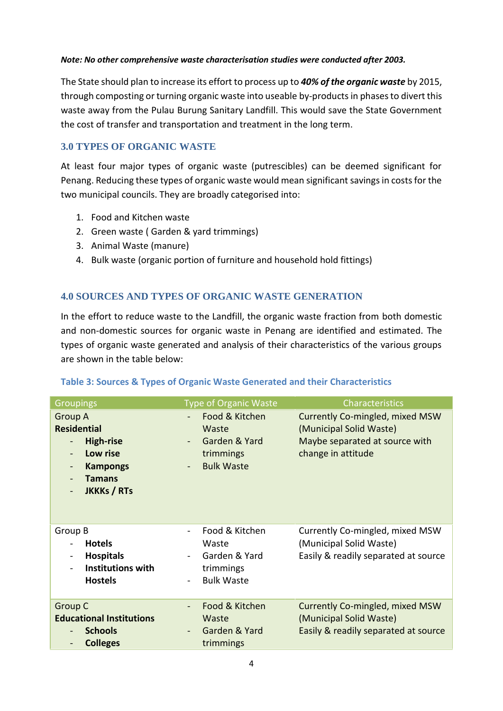#### *Note: No other comprehensive waste characterisation studies were conducted after 2003.*

The State should plan to increase its effort to process up to *40% of the organic waste* by 2015, through composting or turning organic waste into useable by-products in phases to divert this waste away from the Pulau Burung Sanitary Landfill. This would save the State Government the cost of transfer and transportation and treatment in the long term.

# **3.0 TYPES OF ORGANIC WASTE**

At least four major types of organic waste (putrescibles) can be deemed significant for Penang. Reducing these types of organic waste would mean significant savings in costs for the two municipal councils. They are broadly categorised into:

- 1. Food and Kitchen waste
- 2. Green waste ( Garden & yard trimmings)
- 3. Animal Waste (manure)
- 4. Bulk waste (organic portion of furniture and household hold fittings)

# **4.0 SOURCES AND TYPES OF ORGANIC WASTE GENERATION**

In the effort to reduce waste to the Landfill, the organic waste fraction from both domestic and non-domestic sources for organic waste in Penang are identified and estimated. The types of organic waste generated and analysis of their characteristics of the various groups are shown in the table below:

| <b>Groupings</b>                                                                                                                                                                                                 | <b>Type of Organic Waste</b>                                                                           | Characteristics                                                                                                    |
|------------------------------------------------------------------------------------------------------------------------------------------------------------------------------------------------------------------|--------------------------------------------------------------------------------------------------------|--------------------------------------------------------------------------------------------------------------------|
| <b>Group A</b><br><b>Residential</b><br><b>High-rise</b><br>$\blacksquare$<br>Low rise<br>$\blacksquare$<br><b>Kampongs</b><br>$\blacksquare$<br><b>Tamans</b><br><b>JKKKs / RTs</b><br>$\overline{\phantom{a}}$ | Food & Kitchen<br>Waste<br>Garden & Yard<br>$\blacksquare$<br>trimmings<br><b>Bulk Waste</b><br>$\sim$ | Currently Co-mingled, mixed MSW<br>(Municipal Solid Waste)<br>Maybe separated at source with<br>change in attitude |
| Group B<br><b>Hotels</b><br><b>Hospitals</b><br>$\blacksquare$<br><b>Institutions with</b><br><b>Hostels</b>                                                                                                     | Food & Kitchen<br>Waste<br>Garden & Yard<br>$\blacksquare$<br>trimmings<br><b>Bulk Waste</b>           | Currently Co-mingled, mixed MSW<br>(Municipal Solid Waste)<br>Easily & readily separated at source                 |
| <b>Group C</b><br><b>Educational Institutions</b><br><b>Schools</b><br>$\blacksquare$<br><b>Colleges</b><br>$\blacksquare$                                                                                       | Food & Kitchen<br>Waste<br>Garden & Yard<br>trimmings                                                  | Currently Co-mingled, mixed MSW<br>(Municipal Solid Waste)<br>Easily & readily separated at source                 |

#### **Table 3: Sources & Types of Organic Waste Generated and their Characteristics**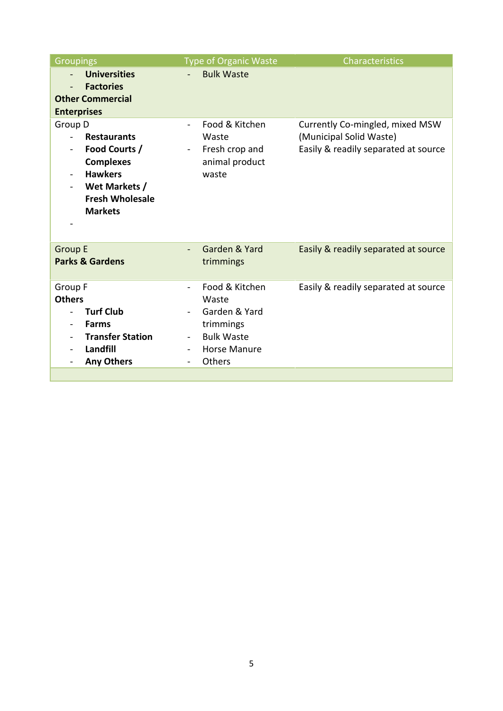| <b>Groupings</b>                                                                                                                                                                                                                                                  | <b>Type of Organic Waste</b>                                                                                                                    | Characteristics                                                                                    |
|-------------------------------------------------------------------------------------------------------------------------------------------------------------------------------------------------------------------------------------------------------------------|-------------------------------------------------------------------------------------------------------------------------------------------------|----------------------------------------------------------------------------------------------------|
| <b>Universities</b><br><b>Factories</b><br>$\overline{\phantom{a}}$<br><b>Other Commercial</b><br><b>Enterprises</b>                                                                                                                                              | <b>Bulk Waste</b>                                                                                                                               |                                                                                                    |
| Group D<br><b>Restaurants</b><br>$\overline{\phantom{a}}$<br>Food Courts /<br>$\overline{\phantom{0}}$<br><b>Complexes</b><br><b>Hawkers</b><br>$\overline{\phantom{a}}$<br>Wet Markets /<br>$\overline{\phantom{a}}$<br><b>Fresh Wholesale</b><br><b>Markets</b> | Food & Kitchen<br>$\blacksquare$<br>Waste<br>Fresh crop and<br>$\blacksquare$<br>animal product<br>waste                                        | Currently Co-mingled, mixed MSW<br>(Municipal Solid Waste)<br>Easily & readily separated at source |
| <b>Group E</b><br><b>Parks &amp; Gardens</b>                                                                                                                                                                                                                      | Garden & Yard<br>trimmings                                                                                                                      | Easily & readily separated at source                                                               |
| Group F<br><b>Others</b><br><b>Turf Club</b><br><b>Farms</b><br>$\overline{\phantom{a}}$<br><b>Transfer Station</b><br>Landfill<br><b>Any Others</b><br>$\overline{\phantom{a}}$                                                                                  | Food & Kitchen<br>$\blacksquare$<br>Waste<br>Garden & Yard<br>trimmings<br><b>Bulk Waste</b><br><b>Horse Manure</b><br>Others<br>$\blacksquare$ | Easily & readily separated at source                                                               |
|                                                                                                                                                                                                                                                                   |                                                                                                                                                 |                                                                                                    |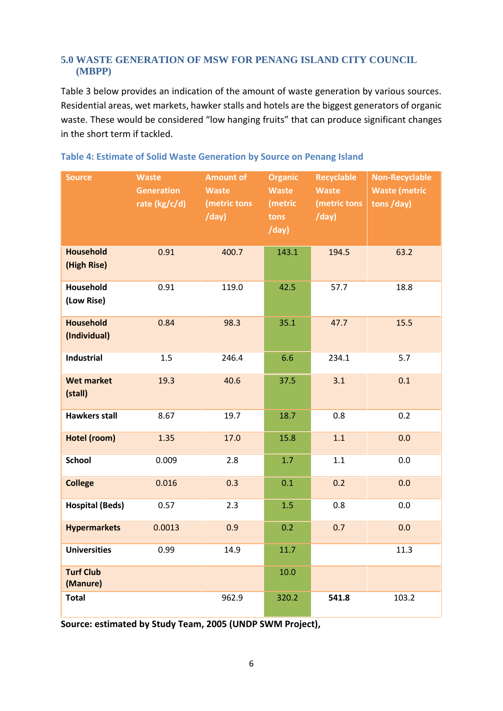# **5.0 WASTE GENERATION OF MSW FOR PENANG ISLAND CITY COUNCIL (MBPP)**

Table 3 below provides an indication of the amount of waste generation by various sources. Residential areas, wet markets, hawker stalls and hotels are the biggest generators of organic waste. These would be considered "low hanging fruits" that can produce significant changes in the short term if tackled.

| <b>Source</b>                    | <b>Waste</b><br><b>Generation</b><br>rate (kg/c/d) | <b>Amount of</b><br><b>Waste</b><br>(metric tons<br>/day) | <b>Organic</b><br><b>Waste</b><br>(metric<br>tons<br>/day) | Recyclable<br><b>Waste</b><br>(metric tons<br>/day) | <b>Non-Recyclable</b><br><b>Waste (metric</b><br>tons /day) |
|----------------------------------|----------------------------------------------------|-----------------------------------------------------------|------------------------------------------------------------|-----------------------------------------------------|-------------------------------------------------------------|
| <b>Household</b><br>(High Rise)  | 0.91                                               | 400.7                                                     | 143.1                                                      | 194.5                                               | 63.2                                                        |
| Household<br>(Low Rise)          | 0.91                                               | 119.0                                                     | 42.5                                                       | 57.7                                                | 18.8                                                        |
| <b>Household</b><br>(Individual) | 0.84                                               | 98.3                                                      | 35.1                                                       | 47.7                                                | 15.5                                                        |
| <b>Industrial</b>                | 1.5                                                | 246.4                                                     | 6.6                                                        | 234.1                                               | 5.7                                                         |
| <b>Wet market</b><br>(stall)     | 19.3                                               | 40.6                                                      | 37.5                                                       | 3.1                                                 | 0.1                                                         |
| <b>Hawkers stall</b>             | 8.67                                               | 19.7                                                      | 18.7                                                       | 0.8                                                 | 0.2                                                         |
| Hotel (room)                     | 1.35                                               | 17.0                                                      | 15.8                                                       | 1.1                                                 | 0.0                                                         |
| <b>School</b>                    | 0.009                                              | 2.8                                                       | 1.7                                                        | 1.1                                                 | 0.0                                                         |
| <b>College</b>                   | 0.016                                              | 0.3                                                       | 0.1                                                        | 0.2                                                 | 0.0                                                         |
| <b>Hospital (Beds)</b>           | 0.57                                               | 2.3                                                       | 1.5                                                        | 0.8                                                 | 0.0                                                         |
| <b>Hypermarkets</b>              | 0.0013                                             | 0.9                                                       | 0.2                                                        | 0.7                                                 | 0.0                                                         |
| <b>Universities</b>              | 0.99                                               | 14.9                                                      | 11.7                                                       |                                                     | 11.3                                                        |
| <b>Turf Club</b><br>(Manure)     |                                                    |                                                           | 10.0                                                       |                                                     |                                                             |
| <b>Total</b>                     |                                                    | 962.9                                                     | 320.2                                                      | 541.8                                               | 103.2                                                       |

#### **Table 4: Estimate of Solid Waste Generation by Source on Penang Island**

**Source: estimated by Study Team, 2005 (UNDP SWM Project),**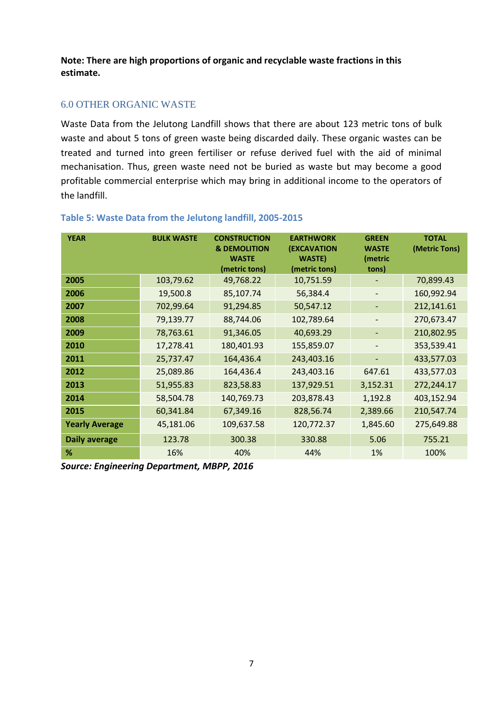**Note: There are high proportions of organic and recyclable waste fractions in this estimate.**

# 6.0 OTHER ORGANIC WASTE

Waste Data from the Jelutong Landfill shows that there are about 123 metric tons of bulk waste and about 5 tons of green waste being discarded daily. These organic wastes can be treated and turned into green fertiliser or refuse derived fuel with the aid of minimal mechanisation. Thus, green waste need not be buried as waste but may become a good profitable commercial enterprise which may bring in additional income to the operators of the landfill.

| <b>YEAR</b>           | <b>BULK WASTE</b> | <b>CONSTRUCTION</b><br><b>&amp; DEMOLITION</b> | <b>EARTHWORK</b><br><b>(EXCAVATION</b> | <b>GREEN</b><br><b>WASTE</b> | <b>TOTAL</b><br>(Metric Tons) |
|-----------------------|-------------------|------------------------------------------------|----------------------------------------|------------------------------|-------------------------------|
|                       |                   | <b>WASTE</b><br>(metric tons)                  | <b>WASTE</b> )<br>(metric tons)        | (metric<br>tons)             |                               |
| 2005                  | 103,79.62         | 49,768.22                                      | 10,751.59                              |                              | 70,899.43                     |
| 2006                  | 19,500.8          | 85,107.74                                      | 56,384.4                               |                              | 160,992.94                    |
| 2007                  | 702,99.64         | 91,294.85                                      | 50,547.12                              | $\overline{\phantom{a}}$     | 212,141.61                    |
| 2008                  | 79,139.77         | 88,744.06                                      | 102,789.64                             | -                            | 270,673.47                    |
| 2009                  | 78,763.61         | 91,346.05                                      | 40,693.29                              |                              | 210,802.95                    |
| 2010                  | 17,278.41         | 180,401.93                                     | 155,859.07                             |                              | 353,539.41                    |
| 2011                  | 25,737.47         | 164,436.4                                      | 243,403.16                             |                              | 433,577.03                    |
| 2012                  | 25,089.86         | 164,436.4                                      | 243,403.16                             | 647.61                       | 433,577.03                    |
| 2013                  | 51,955.83         | 823,58.83                                      | 137,929.51                             | 3,152.31                     | 272,244.17                    |
| 2014                  | 58,504.78         | 140,769.73                                     | 203,878.43                             | 1,192.8                      | 403,152.94                    |
| 2015                  | 60,341.84         | 67,349.16                                      | 828,56.74                              | 2,389.66                     | 210,547.74                    |
| <b>Yearly Average</b> | 45,181.06         | 109,637.58                                     | 120,772.37                             | 1,845.60                     | 275,649.88                    |
| <b>Daily average</b>  | 123.78            | 300.38                                         | 330.88                                 | 5.06                         | 755.21                        |
| %                     | 16%               | 40%                                            | 44%                                    | 1%                           | 100%                          |

#### **Table 5: Waste Data from the Jelutong landfill, 2005-2015**

*Source: Engineering Department, MBPP, 2016*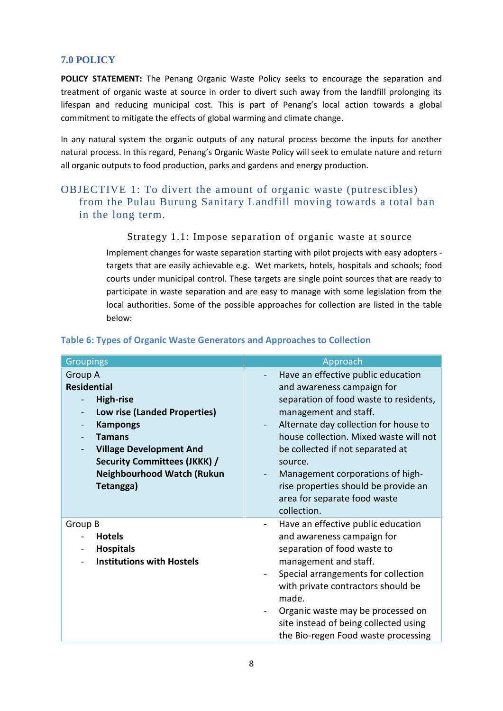# **7.0 POLICY**

**POLICY STATEMENT:** The Penang Organic Waste Policy seeks to encourage the separation and treatment of organic waste at source in order to divert such away from the landfill prolonging its lifespan and reducing municipal cost. This is part of Penang's local action towards a global commitment to mitigate the effects of global warming and climate change.

In any natural system the organic outputs of any natural process become the inputs for another natural process. In this regard, Penang's Organic Waste Policy will seek to emulate nature and return all organic outputs to food production, parks and gardens and energy production.

# OBJECTIVE 1: To divert the amount of organic waste (putrescibles) from the Pulau Burung Sanitary Landfill moving towards a total ban in the long term.

Strategy 1.1: Impose separation of organic waste at source

Implement changes for waste separation starting with pilot projects with easy adopters targets that are easily achievable e.g. Wet markets, hotels, hospitals and schools; food courts under municipal control. These targets are single point sources that are ready to participate in waste separation and are easy to manage with some legislation from the local authorities. Some of the possible approaches for collection are listed in the table below:

| <b>Groupings</b>                                                                                                                                                                                                                                                             | Approach                                                                                                                                                                                                                                                                                                                                                                                         |
|------------------------------------------------------------------------------------------------------------------------------------------------------------------------------------------------------------------------------------------------------------------------------|--------------------------------------------------------------------------------------------------------------------------------------------------------------------------------------------------------------------------------------------------------------------------------------------------------------------------------------------------------------------------------------------------|
| Group A<br><b>Residential</b><br><b>High-rise</b><br>$\overline{\phantom{a}}$<br>Low rise (Landed Properties)<br><b>Kampongs</b><br><b>Tamans</b><br><b>Village Development And</b><br><b>Security Committees (JKKK) /</b><br><b>Neighbourhood Watch (Rukun</b><br>Tetangga) | Have an effective public education<br>and awareness campaign for<br>separation of food waste to residents,<br>management and staff.<br>Alternate day collection for house to<br>house collection. Mixed waste will not<br>be collected if not separated at<br>source.<br>Management corporations of high-<br>rise properties should be provide an<br>area for separate food waste<br>collection. |
| Group B<br><b>Hotels</b><br><b>Hospitals</b><br><b>Institutions with Hostels</b>                                                                                                                                                                                             | Have an effective public education<br>and awareness campaign for<br>separation of food waste to<br>management and staff.<br>Special arrangements for collection<br>with private contractors should be<br>made.<br>Organic waste may be processed on<br>site instead of being collected using<br>the Bio-regen Food waste processing                                                              |

#### **Table 6: Types of Organic Waste Generators and Approaches to Collection**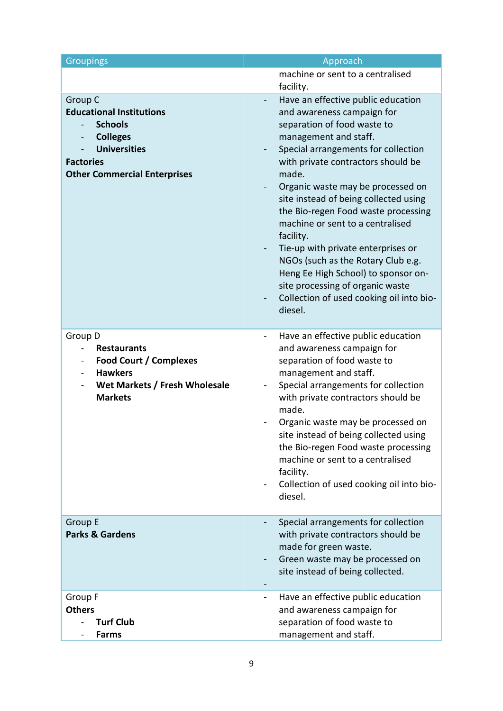| <b>Groupings</b>                                                                                                                                                                     | Approach                                                                                                                                                                                                                                                                                                                                                                                                                                                                                                                                                                                                                               |
|--------------------------------------------------------------------------------------------------------------------------------------------------------------------------------------|----------------------------------------------------------------------------------------------------------------------------------------------------------------------------------------------------------------------------------------------------------------------------------------------------------------------------------------------------------------------------------------------------------------------------------------------------------------------------------------------------------------------------------------------------------------------------------------------------------------------------------------|
|                                                                                                                                                                                      | machine or sent to a centralised                                                                                                                                                                                                                                                                                                                                                                                                                                                                                                                                                                                                       |
|                                                                                                                                                                                      | facility.                                                                                                                                                                                                                                                                                                                                                                                                                                                                                                                                                                                                                              |
| Group C<br><b>Educational Institutions</b><br><b>Schools</b><br><b>Colleges</b><br><b>Universities</b><br><b>Factories</b><br><b>Other Commercial Enterprises</b>                    | Have an effective public education<br>$\blacksquare$<br>and awareness campaign for<br>separation of food waste to<br>management and staff.<br>Special arrangements for collection<br>$\blacksquare$<br>with private contractors should be<br>made.<br>Organic waste may be processed on<br>site instead of being collected using<br>the Bio-regen Food waste processing<br>machine or sent to a centralised<br>facility.<br>Tie-up with private enterprises or<br>NGOs (such as the Rotary Club e.g.<br>Heng Ee High School) to sponsor on-<br>site processing of organic waste<br>Collection of used cooking oil into bio-<br>diesel. |
| Group D<br><b>Restaurants</b><br>$\overline{\phantom{0}}$<br>Food Court / Complexes<br><b>Hawkers</b><br>$\overline{\phantom{a}}$<br>Wet Markets / Fresh Wholesale<br><b>Markets</b> | Have an effective public education<br>$\blacksquare$<br>and awareness campaign for<br>separation of food waste to<br>management and staff.<br>Special arrangements for collection<br>with private contractors should be<br>made.<br>Organic waste may be processed on<br>site instead of being collected using<br>the Bio-regen Food waste processing<br>machine or sent to a centralised<br>facility.<br>Collection of used cooking oil into bio-<br>diesel.                                                                                                                                                                          |
| Group E<br><b>Parks &amp; Gardens</b>                                                                                                                                                | Special arrangements for collection<br>with private contractors should be<br>made for green waste.<br>Green waste may be processed on<br>site instead of being collected.                                                                                                                                                                                                                                                                                                                                                                                                                                                              |
| Group F<br><b>Others</b><br><b>Turf Club</b><br><b>Farms</b>                                                                                                                         | Have an effective public education<br>and awareness campaign for<br>separation of food waste to<br>management and staff.                                                                                                                                                                                                                                                                                                                                                                                                                                                                                                               |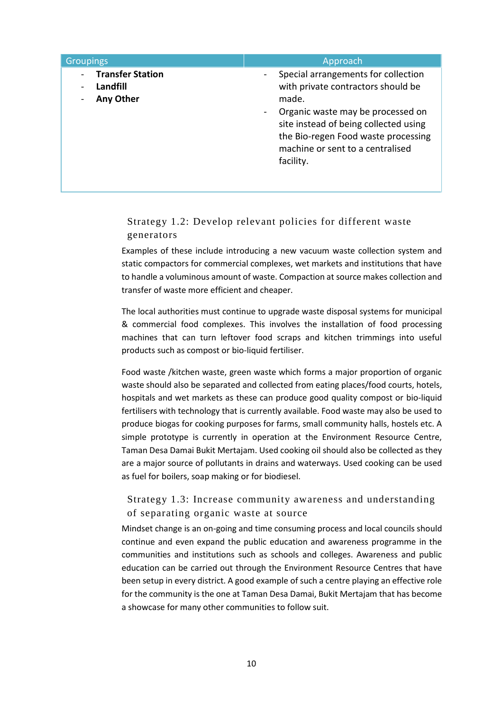| <b>Groupings</b>                                        | Approach                                                                                                                                                                                                                                                                   |
|---------------------------------------------------------|----------------------------------------------------------------------------------------------------------------------------------------------------------------------------------------------------------------------------------------------------------------------------|
| <b>Transfer Station</b><br>Landfill<br><b>Any Other</b> | Special arrangements for collection<br>with private contractors should be<br>made.<br>Organic waste may be processed on<br>$\blacksquare$<br>site instead of being collected using<br>the Bio-regen Food waste processing<br>machine or sent to a centralised<br>facility. |

# Strategy 1.2: Develop relevant policies for different waste generators

Examples of these include introducing a new vacuum waste collection system and static compactors for commercial complexes, wet markets and institutions that have to handle a voluminous amount of waste. Compaction at source makes collection and transfer of waste more efficient and cheaper.

The local authorities must continue to upgrade waste disposal systems for municipal & commercial food complexes. This involves the installation of food processing machines that can turn leftover food scraps and kitchen trimmings into useful products such as compost or bio-liquid fertiliser.

Food waste /kitchen waste, green waste which forms a major proportion of organic waste should also be separated and collected from eating places/food courts, hotels, hospitals and wet markets as these can produce good quality compost or bio-liquid fertilisers with technology that is currently available. Food waste may also be used to produce biogas for cooking purposes for farms, small community halls, hostels etc. A simple prototype is currently in operation at the Environment Resource Centre, Taman Desa Damai Bukit Mertajam. Used cooking oil should also be collected as they are a major source of pollutants in drains and waterways. Used cooking can be used as fuel for boilers, soap making or for biodiesel.

# Strategy 1.3: Increase community awareness and understanding of separating organic waste at source

Mindset change is an on-going and time consuming process and local councils should continue and even expand the public education and awareness programme in the communities and institutions such as schools and colleges. Awareness and public education can be carried out through the Environment Resource Centres that have been setup in every district. A good example of such a centre playing an effective role for the community is the one at Taman Desa Damai, Bukit Mertajam that has become a showcase for many other communities to follow suit.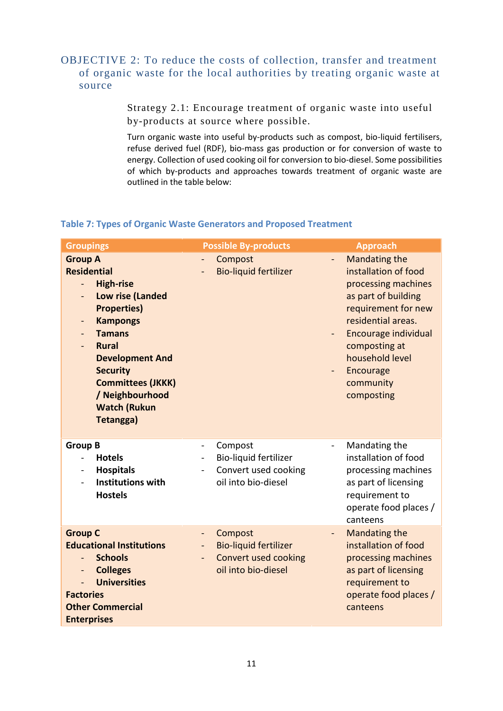# OBJECTIVE 2: To reduce the costs of collection, transfer and treatment of organic waste for the local authorities by treating organic waste at source

Strategy 2.1: Encourage treatment of organic waste into useful by-products at source where possible.

Turn organic waste into useful by-products such as compost, bio-liquid fertilisers, refuse derived fuel (RDF), bio-mass gas production or for conversion of waste to energy. Collection of used cooking oil for conversion to bio-diesel. Some possibilities of which by-products and approaches towards treatment of organic waste are outlined in the table below:

# **Table 7: Types of Organic Waste Generators and Proposed Treatment**

| <b>Groupings</b>                                                                                                                                                                                                                                                                                                                         | <b>Possible By-products</b>                                                                                                                    | <b>Approach</b>                                                                                                                                                                                                                             |
|------------------------------------------------------------------------------------------------------------------------------------------------------------------------------------------------------------------------------------------------------------------------------------------------------------------------------------------|------------------------------------------------------------------------------------------------------------------------------------------------|---------------------------------------------------------------------------------------------------------------------------------------------------------------------------------------------------------------------------------------------|
| <b>Group A</b><br><b>Residential</b><br><b>High-rise</b><br>Low rise (Landed<br><b>Properties)</b><br><b>Kampongs</b><br>$\qquad \qquad \blacksquare$<br><b>Tamans</b><br>$\blacksquare$<br><b>Rural</b><br><b>Development And</b><br><b>Security</b><br><b>Committees (JKKK)</b><br>/ Neighbourhood<br><b>Watch (Rukun</b><br>Tetangga) | Compost<br><b>Bio-liquid fertilizer</b>                                                                                                        | <b>Mandating the</b><br>installation of food<br>processing machines<br>as part of building<br>requirement for new<br>residential areas.<br>Encourage individual<br>composting at<br>household level<br>Encourage<br>community<br>composting |
| <b>Group B</b><br><b>Hotels</b><br>$\frac{1}{2}$<br><b>Hospitals</b><br>$\blacksquare$<br><b>Institutions with</b><br><b>Hostels</b>                                                                                                                                                                                                     | Compost<br>$\overline{\phantom{0}}$<br>Bio-liquid fertilizer<br>Convert used cooking<br>oil into bio-diesel                                    | Mandating the<br>$\overline{a}$<br>installation of food<br>processing machines<br>as part of licensing<br>requirement to<br>operate food places /<br>canteens                                                                               |
| <b>Group C</b><br><b>Educational Institutions</b><br><b>Schools</b><br><b>Colleges</b><br>$\qquad \qquad -$<br><b>Universities</b><br><b>Factories</b><br><b>Other Commercial</b><br><b>Enterprises</b>                                                                                                                                  | Compost<br>$\qquad \qquad -$<br><b>Bio-liquid fertilizer</b><br>$\overline{\phantom{0}}$<br><b>Convert used cooking</b><br>oil into bio-diesel | <b>Mandating the</b><br>$\blacksquare$<br>installation of food<br>processing machines<br>as part of licensing<br>requirement to<br>operate food places /<br>canteens                                                                        |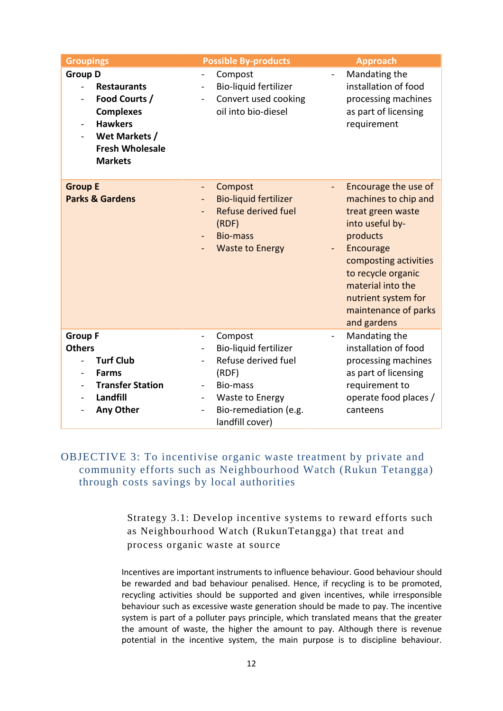| <b>Groupings</b>                                                                                                                                                                                       | <b>Possible By-products</b>                                                                                                                                                                                          | <b>Approach</b>                                                                                                                                                                                                                                 |
|--------------------------------------------------------------------------------------------------------------------------------------------------------------------------------------------------------|----------------------------------------------------------------------------------------------------------------------------------------------------------------------------------------------------------------------|-------------------------------------------------------------------------------------------------------------------------------------------------------------------------------------------------------------------------------------------------|
| <b>Group D</b><br><b>Restaurants</b><br>$\blacksquare$<br>Food Courts /<br><b>Complexes</b><br><b>Hawkers</b><br>Wet Markets /<br>$\overline{\phantom{a}}$<br><b>Fresh Wholesale</b><br><b>Markets</b> | Compost<br>Bio-liquid fertilizer<br>$\blacksquare$<br>Convert used cooking<br>oil into bio-diesel                                                                                                                    | Mandating the<br>installation of food<br>processing machines<br>as part of licensing<br>requirement                                                                                                                                             |
| <b>Group E</b><br><b>Parks &amp; Gardens</b>                                                                                                                                                           | Compost<br>$\blacksquare$<br>$\blacksquare$<br><b>Bio-liquid fertilizer</b><br>Refuse derived fuel<br>(RDF)<br><b>Bio-mass</b><br><b>Waste to Energy</b>                                                             | Encourage the use of<br>machines to chip and<br>treat green waste<br>into useful by-<br>products<br>Encourage<br>composting activities<br>to recycle organic<br>material into the<br>nutrient system for<br>maintenance of parks<br>and gardens |
| <b>Group F</b><br><b>Others</b><br><b>Turf Club</b><br><b>Farms</b><br><b>Transfer Station</b><br>$\overline{\phantom{a}}$<br>Landfill<br>Any Other                                                    | Compost<br>$\overline{\phantom{0}}$<br>$\blacksquare$<br>Bio-liquid fertilizer<br>Refuse derived fuel<br>(RDF)<br>Bio-mass<br>$\blacksquare$<br>Waste to Energy<br>Bio-remediation (e.g.<br>$\overline{\phantom{a}}$ | Mandating the<br>installation of food<br>processing machines<br>as part of licensing<br>requirement to<br>operate food places /<br>canteens                                                                                                     |

# OBJECTIVE 3: To incentivise organic waste treatment by private and community efforts such as Neighbourhood Watch (Rukun Tetangga) through costs savings by local authorities

Strategy 3.1: Develop incentive systems to reward efforts such as Neighbourhood Watch (RukunTetangga) that treat and process organic waste at source

Incentives are important instruments to influence behaviour. Good behaviour should be rewarded and bad behaviour penalised. Hence, if recycling is to be promoted, recycling activities should be supported and given incentives, while irresponsible behaviour such as excessive waste generation should be made to pay. The incentive system is part of a polluter pays principle, which translated means that the greater the amount of waste, the higher the amount to pay. Although there is revenue potential in the incentive system, the main purpose is to discipline behaviour.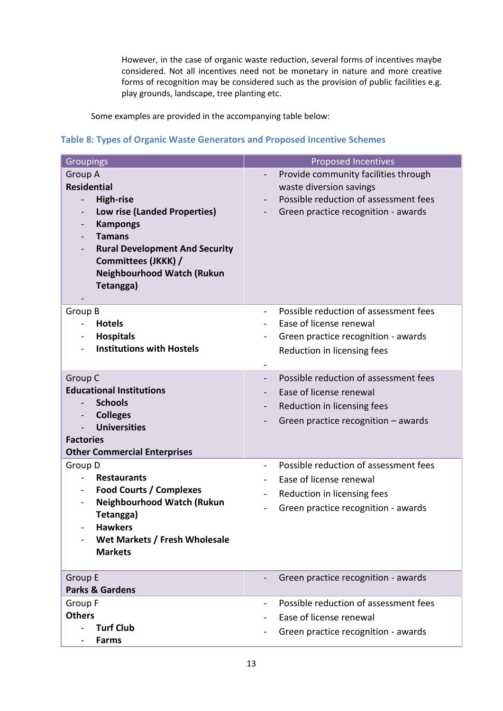However, in the case of organic waste reduction, several forms of incentives maybe considered. Not all incentives need not be monetary in nature and more creative forms of recognition may be considered such as the provision of public facilities e.g. play grounds, landscape, tree planting etc.

Some examples are provided in the accompanying table below:

#### **Table 8: Types of Organic Waste Generators and Proposed Incentive Schemes**

| <b>Groupings</b>                                                                                                                                                                                                                                                                                | <b>Proposed Incentives</b>                                                                                                                                                  |
|-------------------------------------------------------------------------------------------------------------------------------------------------------------------------------------------------------------------------------------------------------------------------------------------------|-----------------------------------------------------------------------------------------------------------------------------------------------------------------------------|
| Group A<br><b>Residential</b><br><b>High-rise</b><br>$\overline{\phantom{0}}$<br>Low rise (Landed Properties)<br>$\overline{\phantom{a}}$<br><b>Kampongs</b><br><b>Tamans</b><br><b>Rural Development And Security</b><br>Committees (JKKK) /<br><b>Neighbourhood Watch (Rukun</b><br>Tetangga) | Provide community facilities through<br>$\overline{\phantom{a}}$<br>waste diversion savings<br>Possible reduction of assessment fees<br>Green practice recognition - awards |
| Group B<br><b>Hotels</b><br><b>Hospitals</b><br><b>Institutions with Hostels</b>                                                                                                                                                                                                                | Possible reduction of assessment fees<br>$\blacksquare$<br>Ease of license renewal<br>$\blacksquare$<br>Green practice recognition - awards<br>Reduction in licensing fees  |
| Group C<br><b>Educational Institutions</b><br><b>Schools</b><br><b>Colleges</b><br>$\blacksquare$<br><b>Universities</b><br><b>Factories</b><br><b>Other Commercial Enterprises</b>                                                                                                             | Possible reduction of assessment fees<br>Ease of license renewal<br>Reduction in licensing fees<br>Green practice recognition $-$ awards                                    |
| Group D<br><b>Restaurants</b><br><b>Food Courts / Complexes</b><br>$\blacksquare$<br><b>Neighbourhood Watch (Rukun</b><br>Tetangga)<br><b>Hawkers</b><br>Wet Markets / Fresh Wholesale<br><b>Markets</b>                                                                                        | Possible reduction of assessment fees<br>$\blacksquare$<br>Ease of license renewal<br>Reduction in licensing fees<br>Green practice recognition - awards                    |
| <b>Group E</b><br><b>Parks &amp; Gardens</b>                                                                                                                                                                                                                                                    | Green practice recognition - awards                                                                                                                                         |
| Group F<br><b>Others</b><br><b>Turf Club</b><br><b>Farms</b>                                                                                                                                                                                                                                    | Possible reduction of assessment fees<br>$\blacksquare$<br>Ease of license renewal<br>Green practice recognition - awards                                                   |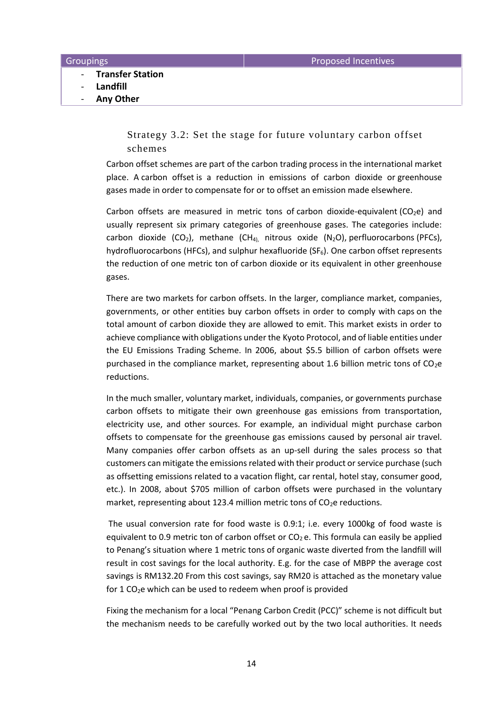- **Transfer Station**
- **Landfill**
- **Any Other**

Strategy 3.2: Set the stage for future voluntary carbon offset schemes

Carbon offset schemes are part of the carbon trading process in the international market place. A carbon offset is a reduction in emissions of carbon dioxide or greenhouse gases made in order to compensate for or to offset an emission made elsewhere.

Carbon offsets are measured in metric tons of carbon dioxide-equivalent ( $CO<sub>2</sub>e$ ) and usually represent six primary categories of greenhouse gases. The categories include: carbon dioxide (CO<sub>2</sub>), methane (CH<sub>4)</sub> nitrous oxide (N<sub>2</sub>O), perfluorocarbons (PFCs), hydrofluorocarbons (HFCs), and sulphur hexafluoride (SF<sub>6</sub>). One carbon offset represents the reduction of one metric ton of carbon dioxide or its equivalent in other greenhouse gases.

There are two markets for carbon offsets. In the larger, compliance market, companies, governments, or other entities buy carbon offsets in order to comply with caps on the total amount of carbon dioxide they are allowed to emit. This market exists in order to achieve compliance with obligations under the Kyoto Protocol, and of liable entities under the EU Emissions Trading Scheme. In 2006, about \$5.5 billion of carbon offsets were purchased in the compliance market, representing about 1.6 billion metric tons of CO2e reductions.

In the much smaller, voluntary market, individuals, companies, or governments purchase carbon offsets to mitigate their own greenhouse gas emissions from transportation, electricity use, and other sources. For example, an individual might purchase carbon offsets to compensate for the greenhouse gas emissions caused by personal air travel. Many companies offer carbon offsets as an up-sell during the sales process so that customers can mitigate the emissions related with their product or service purchase (such as offsetting emissions related to a vacation flight, car rental, hotel stay, consumer good, etc.). In 2008, about \$705 million of carbon offsets were purchased in the voluntary market, representing about 123.4 million metric tons of  $CO<sub>2</sub>e$  reductions.

The usual conversion rate for food waste is 0.9:1; i.e. every 1000kg of food waste is equivalent to 0.9 metric ton of carbon offset or  $CO<sub>2</sub>$  e. This formula can easily be applied to Penang's situation where 1 metric tons of organic waste diverted from the landfill will result in cost savings for the local authority. E.g. for the case of MBPP the average cost savings is RM132.20 From this cost savings, say RM20 is attached as the monetary value for 1 CO2e which can be used to redeem when proof is provided

Fixing the mechanism for a local "Penang Carbon Credit (PCC)" scheme is not difficult but the mechanism needs to be carefully worked out by the two local authorities. It needs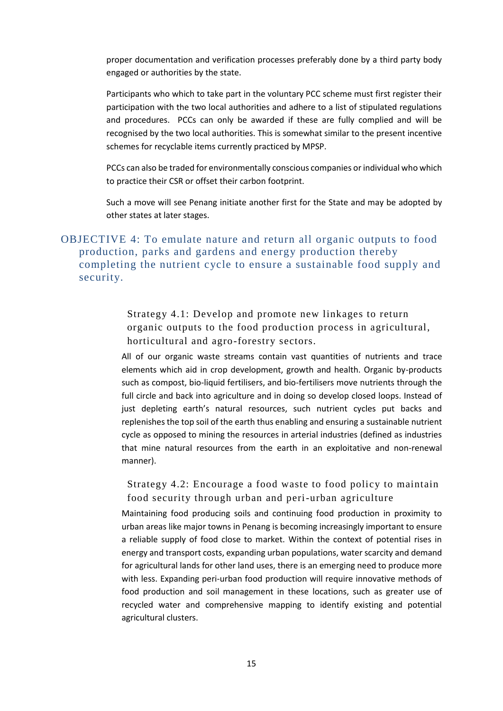proper documentation and verification processes preferably done by a third party body engaged or authorities by the state.

Participants who which to take part in the voluntary PCC scheme must first register their participation with the two local authorities and adhere to a list of stipulated regulations and procedures. PCCs can only be awarded if these are fully complied and will be recognised by the two local authorities. This is somewhat similar to the present incentive schemes for recyclable items currently practiced by MPSP.

PCCs can also be traded for environmentally conscious companies or individual who which to practice their CSR or offset their carbon footprint.

Such a move will see Penang initiate another first for the State and may be adopted by other states at later stages.

# OBJECTIVE 4: To emulate nature and return all organic outputs to food production, parks and gardens and energy production thereby completing the nutrient cycle to ensure a sustainable food supply and security.

Strategy 4.1: Develop and promote new linkages to return organic outputs to the food production process in agricultural, horticultural and agro-forestry sectors.

All of our organic waste streams contain vast quantities of nutrients and trace elements which aid in crop development, growth and health. Organic by-products such as compost, bio-liquid fertilisers, and bio-fertilisers move nutrients through the full circle and back into agriculture and in doing so develop closed loops. Instead of just depleting earth's natural resources, such nutrient cycles put backs and replenishes the top soil of the earth thus enabling and ensuring a sustainable nutrient cycle as opposed to mining the resources in arterial industries (defined as industries that mine natural resources from the earth in an exploitative and non-renewal manner).

Strategy 4.2: Encourage a food waste to food policy to maintain food security through urban and peri-urban agriculture

Maintaining food producing soils and continuing food production in proximity to urban areas like major towns in Penang is becoming increasingly important to ensure a reliable supply of food close to market. Within the context of potential rises in energy and transport costs, expanding urban populations, water scarcity and demand for agricultural lands for other land uses, there is an emerging need to produce more with less. Expanding peri-urban food production will require innovative methods of food production and soil management in these locations, such as greater use of recycled water and comprehensive mapping to identify existing and potential agricultural clusters.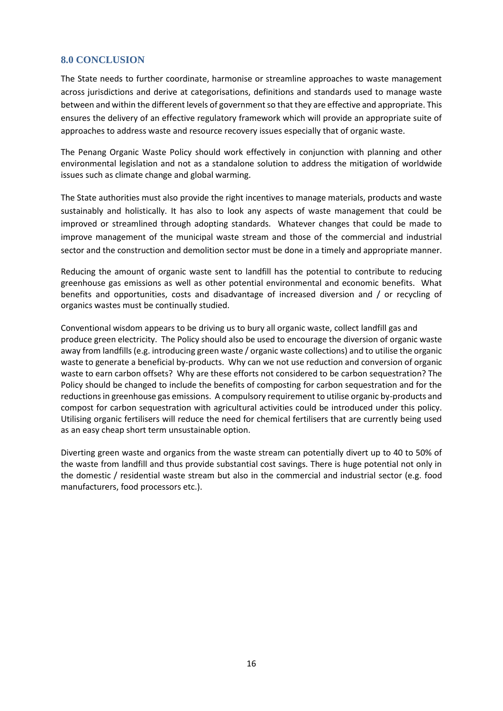#### **8.0 CONCLUSION**

The State needs to further coordinate, harmonise or streamline approaches to waste management across jurisdictions and derive at categorisations, definitions and standards used to manage waste between and within the different levels of government so that they are effective and appropriate. This ensures the delivery of an effective regulatory framework which will provide an appropriate suite of approaches to address waste and resource recovery issues especially that of organic waste.

The Penang Organic Waste Policy should work effectively in conjunction with planning and other environmental legislation and not as a standalone solution to address the mitigation of worldwide issues such as climate change and global warming.

The State authorities must also provide the right incentives to manage materials, products and waste sustainably and holistically. It has also to look any aspects of waste management that could be improved or streamlined through adopting standards. Whatever changes that could be made to improve management of the municipal waste stream and those of the commercial and industrial sector and the construction and demolition sector must be done in a timely and appropriate manner.

Reducing the amount of organic waste sent to landfill has the potential to contribute to reducing greenhouse gas emissions as well as other potential environmental and economic benefits. What benefits and opportunities, costs and disadvantage of increased diversion and / or recycling of organics wastes must be continually studied.

Conventional wisdom appears to be driving us to bury all organic waste, collect landfill gas and produce green electricity. The Policy should also be used to encourage the diversion of organic waste away from landfills (e.g. introducing green waste / organic waste collections) and to utilise the organic waste to generate a beneficial by-products. Why can we not use reduction and conversion of organic waste to earn carbon offsets? Why are these efforts not considered to be carbon sequestration? The Policy should be changed to include the benefits of composting for carbon sequestration and for the reductions in greenhouse gas emissions. A compulsory requirement to utilise organic by-products and compost for carbon sequestration with agricultural activities could be introduced under this policy. Utilising organic fertilisers will reduce the need for chemical fertilisers that are currently being used as an easy cheap short term unsustainable option.

Diverting green waste and organics from the waste stream can potentially divert up to 40 to 50% of the waste from landfill and thus provide substantial cost savings. There is huge potential not only in the domestic / residential waste stream but also in the commercial and industrial sector (e.g. food manufacturers, food processors etc.).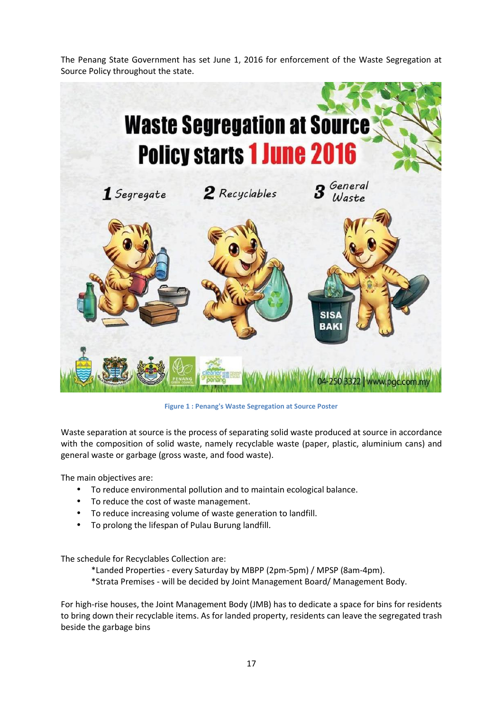The Penang State Government has set June 1, 2016 for enforcement of the Waste Segregation at Source Policy throughout the state.



**Figure 1 : Penang's Waste Segregation at Source Poster**

Waste separation at source is the process of separating solid waste produced at source in accordance with the composition of solid waste, namely recyclable waste (paper, plastic, aluminium cans) and general waste or garbage (gross waste, and food waste).

The main objectives are:

- To reduce environmental pollution and to maintain ecological balance.
- To reduce the cost of waste management.
- To reduce increasing volume of waste generation to landfill.
- To prolong the lifespan of Pulau Burung landfill.

The schedule for Recyclables Collection are:

\*Landed Properties - every Saturday by MBPP (2pm-5pm) / MPSP (8am-4pm). \*Strata Premises - will be decided by Joint Management Board/ Management Body.

For high-rise houses, the Joint Management Body (JMB) has to dedicate a space for bins for residents to bring down their recyclable items. As for landed property, residents can leave the segregated trash beside the garbage bins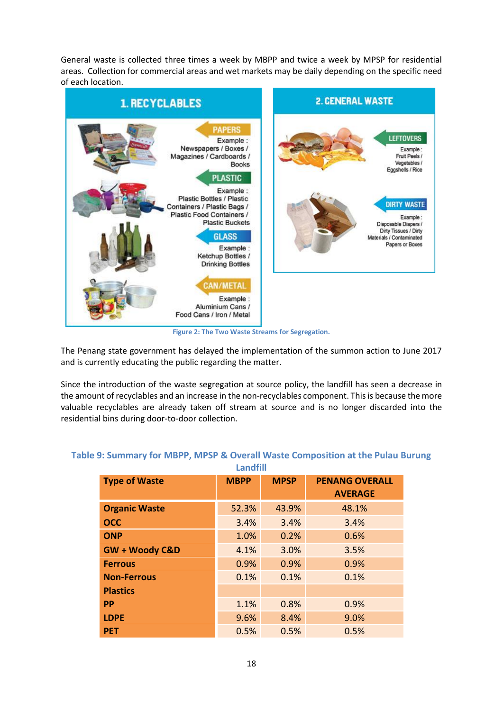General waste is collected three times a week by MBPP and twice a week by MPSP for residential areas. Collection for commercial areas and wet markets may be daily depending on the specific need of each location.



**Figure 2: The Two Waste Streams for Segregation.**

The Penang state government has delayed the implementation of the summon action to June 2017 and is currently educating the public regarding the matter.

Since the introduction of the waste segregation at source policy, the landfill has seen a decrease in the amount of recyclables and an increase in the non-recyclables component. This is because the more valuable recyclables are already taken off stream at source and is no longer discarded into the residential bins during door-to-door collection.

| <b>Type of Waste</b>      | <b>MBPP</b> | <b>MPSP</b> | <b>PENANG OVERALL</b><br><b>AVERAGE</b> |
|---------------------------|-------------|-------------|-----------------------------------------|
| <b>Organic Waste</b>      | 52.3%       | 43.9%       | 48.1%                                   |
| <b>OCC</b>                | 3.4%        | 3.4%        | 3.4%                                    |
| <b>ONP</b>                | 1.0%        | 0.2%        | 0.6%                                    |
| <b>GW + Woody C&amp;D</b> | 4.1%        | 3.0%        | 3.5%                                    |
| <b>Ferrous</b>            | 0.9%        | 0.9%        | 0.9%                                    |
| <b>Non-Ferrous</b>        | 0.1%        | 0.1%        | 0.1%                                    |
| <b>Plastics</b>           |             |             |                                         |
| <b>PP</b>                 | 1.1%        | 0.8%        | 0.9%                                    |
| <b>LDPE</b>               | 9.6%        | 8.4%        | 9.0%                                    |
| <b>PET</b>                | 0.5%        | 0.5%        | 0.5%                                    |

#### **Table 9: Summary for MBPP, MPSP & Overall Waste Composition at the Pulau Burung Landfill**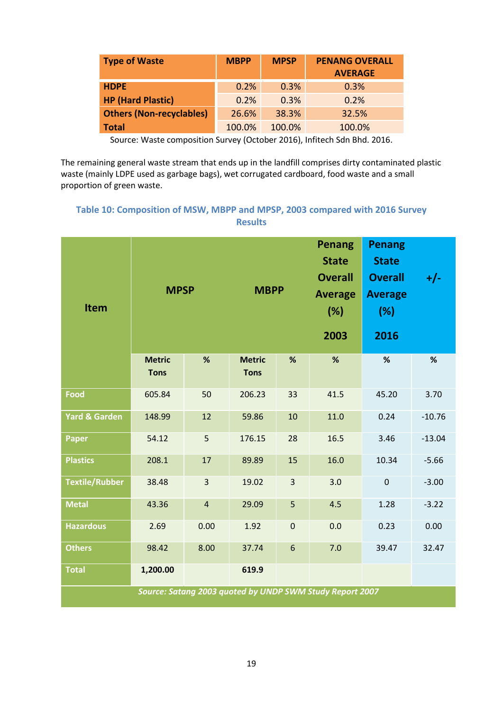| <b>Type of Waste</b>            | <b>MBPP</b> | <b>MPSP</b> | <b>PENANG OVERALL</b><br><b>AVERAGE</b> |
|---------------------------------|-------------|-------------|-----------------------------------------|
| <b>HDPE</b>                     | 0.2%        | 0.3%        | 0.3%                                    |
| <b>HP (Hard Plastic)</b>        | 0.2%        | 0.3%        | 0.2%                                    |
| <b>Others (Non-recyclables)</b> | 26.6%       | 38.3%       | 32.5%                                   |
| <b>Total</b>                    | 100.0%      | 100.0%      | 100.0%                                  |

Source: Waste composition Survey (October 2016), Infitech Sdn Bhd. 2016.

The remaining general waste stream that ends up in the landfill comprises dirty contaminated plastic waste (mainly LDPE used as garbage bags), wet corrugated cardboard, food waste and a small proportion of green waste.

# **Table 10: Composition of MSW, MBPP and MPSP, 2003 compared with 2016 Survey Results**

| <b>MPSP</b><br><b>Item</b>                               |                              |                         | <b>MBPP</b>                  |                | <b>Penang</b><br><b>State</b><br><b>Overall</b><br><b>Average</b><br>(%)<br>2003 | <b>Penang</b><br><b>State</b><br><b>Overall</b><br><b>Average</b><br>(%)<br>2016 | $+/-$    |  |
|----------------------------------------------------------|------------------------------|-------------------------|------------------------------|----------------|----------------------------------------------------------------------------------|----------------------------------------------------------------------------------|----------|--|
|                                                          | <b>Metric</b><br><b>Tons</b> | %                       | <b>Metric</b><br><b>Tons</b> | %              | %                                                                                | %                                                                                | %        |  |
| <b>Food</b>                                              | 605.84                       | 50                      | 206.23                       | 33             | 41.5                                                                             | 45.20                                                                            | 3.70     |  |
| <b>Yard &amp; Garden</b>                                 | 148.99                       | 12                      | 59.86                        | 10             | 11.0                                                                             | 0.24                                                                             | $-10.76$ |  |
| <b>Paper</b>                                             | 54.12                        | 5                       | 176.15                       | 28             | 16.5                                                                             | 3.46                                                                             | $-13.04$ |  |
| <b>Plastics</b>                                          | 208.1                        | 17                      | 89.89                        | 15             | 16.0                                                                             | 10.34                                                                            | $-5.66$  |  |
| <b>Textile/Rubber</b>                                    | 38.48                        | $\overline{3}$          | 19.02                        | $\overline{3}$ | 3.0                                                                              | $\pmb{0}$                                                                        | $-3.00$  |  |
| <b>Metal</b>                                             | 43.36                        | $\overline{\mathbf{4}}$ | 29.09                        | 5              | 4.5                                                                              | 1.28                                                                             | $-3.22$  |  |
| <b>Hazardous</b>                                         | 2.69                         | 0.00                    | 1.92                         | $\pmb{0}$      | 0.0                                                                              | 0.23                                                                             | 0.00     |  |
| <b>Others</b>                                            | 98.42                        | 8.00                    | 37.74                        | $6\phantom{1}$ | 7.0                                                                              | 39.47                                                                            | 32.47    |  |
| <b>Total</b>                                             | 1,200.00                     |                         | 619.9                        |                |                                                                                  |                                                                                  |          |  |
| Source: Satang 2003 quoted by UNDP SWM Study Report 2007 |                              |                         |                              |                |                                                                                  |                                                                                  |          |  |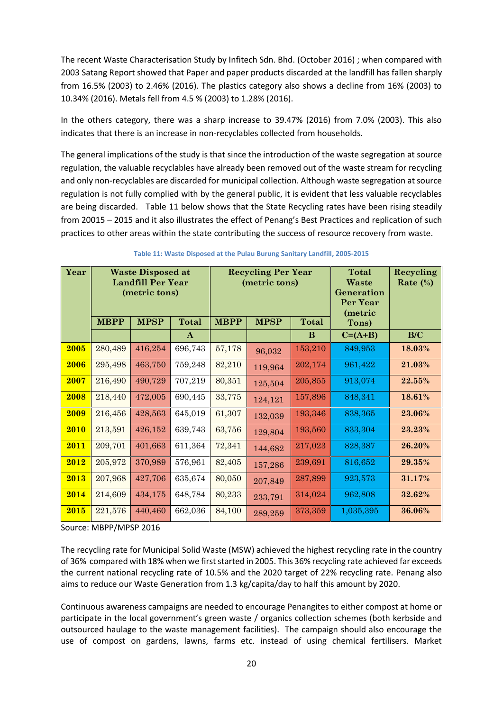The recent Waste Characterisation Study by Infitech Sdn. Bhd. (October 2016) ; when compared with 2003 Satang Report showed that Paper and paper products discarded at the landfill has fallen sharply from 16.5% (2003) to 2.46% (2016). The plastics category also shows a decline from 16% (2003) to 10.34% (2016). Metals fell from 4.5 % (2003) to 1.28% (2016).

In the others category, there was a sharp increase to 39.47% (2016) from 7.0% (2003). This also indicates that there is an increase in non-recyclables collected from households.

The general implications of the study is that since the introduction of the waste segregation at source regulation, the valuable recyclables have already been removed out of the waste stream for recycling and only non-recyclables are discarded for municipal collection. Although waste segregation at source regulation is not fully complied with by the general public, it is evident that less valuable recyclables are being discarded. Table 11 below shows that the State Recycling rates have been rising steadily from 20015 – 2015 and it also illustrates the effect of Penang's Best Practices and replication of such practices to other areas within the state contributing the success of resource recovery from waste.

| Year | <b>Waste Disposed at</b><br><b>Landfill Per Year</b><br>(metric tons) |             | <b>Recycling Per Year</b><br>(metric tons) |             | <b>Total</b><br>Waste<br>Generation<br>Per Year<br>(metric | Recycling<br>Rate $(\%)$ |           |        |
|------|-----------------------------------------------------------------------|-------------|--------------------------------------------|-------------|------------------------------------------------------------|--------------------------|-----------|--------|
|      | <b>MBPP</b>                                                           | <b>MPSP</b> | <b>Total</b>                               | <b>MBPP</b> | <b>MPSP</b>                                                | <b>Total</b>             | Tons)     |        |
|      |                                                                       |             | $\mathbf{A}$                               |             |                                                            | B                        | $C=(A+B)$ | B/C    |
| 2005 | 280,489                                                               | 416,254     | 696,743                                    | 57,178      | 96,032                                                     | 153,210                  | 849,953   | 18.03% |
| 2006 | 295,498                                                               | 463,750     | 759,248                                    | 82,210      | 119,964                                                    | 202,174                  | 961,422   | 21.03% |
| 2007 | 216,490                                                               | 490,729     | 707,219                                    | 80,351      | 125,504                                                    | 205,855                  | 913,074   | 22.55% |
| 2008 | 218,440                                                               | 472,005     | 690,445                                    | 33,775      | 124,121                                                    | 157,896                  | 848,341   | 18.61% |
| 2009 | 216,456                                                               | 428,563     | 645,019                                    | 61,307      | 132,039                                                    | 193,346                  | 838,365   | 23.06% |
| 2010 | 213,591                                                               | 426,152     | 639,743                                    | 63,756      | 129,804                                                    | 193,560                  | 833,304   | 23.23% |
| 2011 | 209,701                                                               | 401,663     | 611,364                                    | 72,341      | 144,682                                                    | 217,023                  | 828,387   | 26.20% |
| 2012 | 205,972                                                               | 370,989     | 576,961                                    | 82,405      | 157,286                                                    | 239,691                  | 816,652   | 29.35% |
| 2013 | 207,968                                                               | 427,706     | 635,674                                    | 80,050      | 207,849                                                    | 287,899                  | 923,573   | 31.17% |
| 2014 | 214,609                                                               | 434,175     | 648,784                                    | 80,233      | 233,791                                                    | 314,024                  | 962,808   | 32.62% |
| 2015 | 221,576                                                               | 440,460     | 662,036                                    | 84,100      | 289,259                                                    | 373,359                  | 1,035,395 | 36.06% |

#### **Table 11: Waste Disposed at the Pulau Burung Sanitary Landfill, 2005-2015**

Source: MBPP/MPSP 2016

The recycling rate for Municipal Solid Waste (MSW) achieved the highest recycling rate in the country of 36% compared with 18% when we first started in 2005. This 36% recycling rate achieved far exceeds the current national recycling rate of 10.5% and the 2020 target of 22% recycling rate. Penang also aims to reduce our Waste Generation from 1.3 kg/capita/day to half this amount by 2020.

Continuous awareness campaigns are needed to encourage Penangites to either compost at home or participate in the local government's green waste / organics collection schemes (both kerbside and outsourced haulage to the waste management facilities). The campaign should also encourage the use of compost on gardens, lawns, farms etc. instead of using chemical fertilisers. Market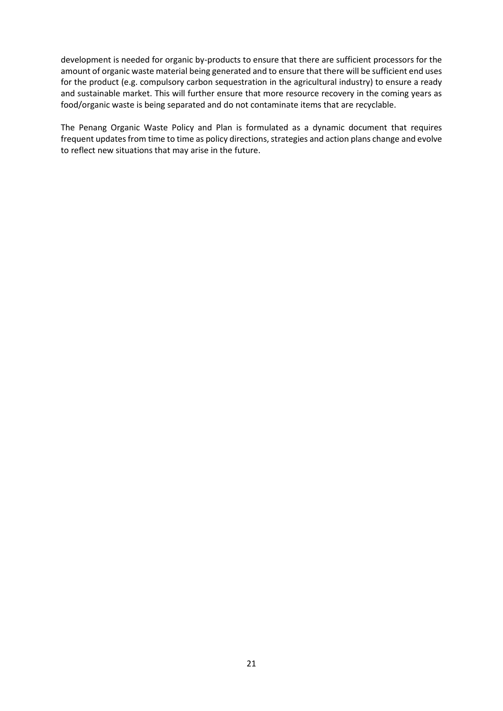development is needed for organic by-products to ensure that there are sufficient processors for the amount of organic waste material being generated and to ensure that there will be sufficient end uses for the product (e.g. compulsory carbon sequestration in the agricultural industry) to ensure a ready and sustainable market. This will further ensure that more resource recovery in the coming years as food/organic waste is being separated and do not contaminate items that are recyclable.

The Penang Organic Waste Policy and Plan is formulated as a dynamic document that requires frequent updates from time to time as policy directions, strategies and action plans change and evolve to reflect new situations that may arise in the future.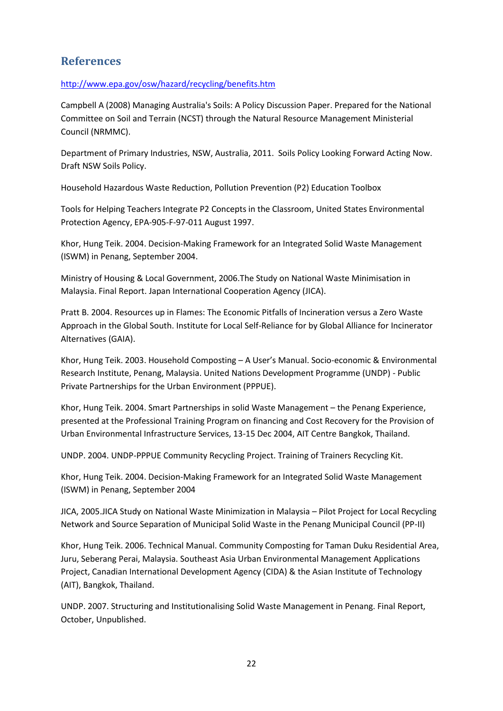# **References**

# http://www.epa.gov/osw/hazard/recycling/benefits.htm

Campbell A (2008) Managing Australia's Soils: A Policy Discussion Paper. Prepared for the National Committee on Soil and Terrain (NCST) through the Natural Resource Management Ministerial Council (NRMMC).

Department of Primary Industries, NSW, Australia, 2011. Soils Policy Looking Forward Acting Now. Draft NSW Soils Policy.

Household Hazardous Waste Reduction, Pollution Prevention (P2) Education Toolbox

Tools for Helping Teachers Integrate P2 Concepts in the Classroom, United States Environmental Protection Agency, EPA-905-F-97-011 August 1997.

Khor, Hung Teik. 2004. Decision-Making Framework for an Integrated Solid Waste Management (ISWM) in Penang, September 2004.

Ministry of Housing & Local Government, 2006.The Study on National Waste Minimisation in Malaysia. Final Report. Japan International Cooperation Agency (JICA).

Pratt B. 2004. Resources up in Flames: The Economic Pitfalls of Incineration versus a Zero Waste Approach in the Global South. Institute for Local Self-Reliance for by Global Alliance for Incinerator Alternatives (GAIA).

Khor, Hung Teik. 2003. Household Composting – A User's Manual. Socio-economic & Environmental Research Institute, Penang, Malaysia. United Nations Development Programme (UNDP) - Public Private Partnerships for the Urban Environment (PPPUE).

Khor, Hung Teik. 2004. Smart Partnerships in solid Waste Management – the Penang Experience, presented at the Professional Training Program on financing and Cost Recovery for the Provision of Urban Environmental Infrastructure Services, 13-15 Dec 2004, AIT Centre Bangkok, Thailand.

UNDP. 2004. UNDP-PPPUE Community Recycling Project. Training of Trainers Recycling Kit.

Khor, Hung Teik. 2004. Decision-Making Framework for an Integrated Solid Waste Management (ISWM) in Penang, September 2004

JICA, 2005.JICA Study on National Waste Minimization in Malaysia – Pilot Project for Local Recycling Network and Source Separation of Municipal Solid Waste in the Penang Municipal Council (PP-II)

Khor, Hung Teik. 2006. Technical Manual. Community Composting for Taman Duku Residential Area, Juru, Seberang Perai, Malaysia. Southeast Asia Urban Environmental Management Applications Project, Canadian International Development Agency (CIDA) & the Asian Institute of Technology (AIT), Bangkok, Thailand.

UNDP. 2007. Structuring and Institutionalising Solid Waste Management in Penang. Final Report, October, Unpublished.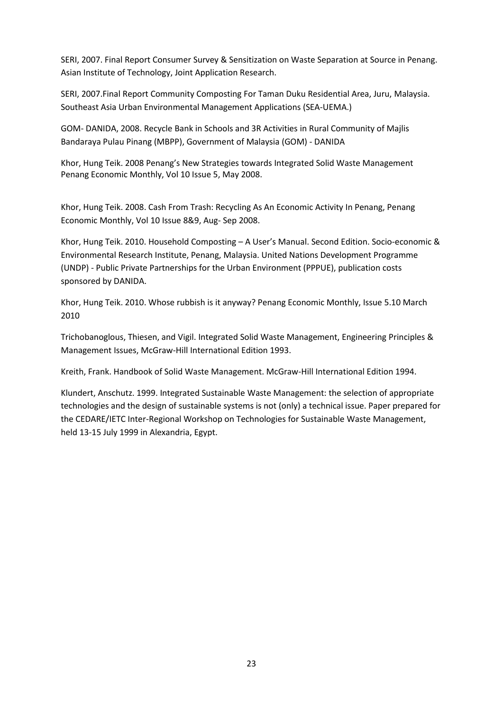SERI, 2007. Final Report Consumer Survey & Sensitization on Waste Separation at Source in Penang. Asian Institute of Technology, Joint Application Research.

SERI, 2007.Final Report Community Composting For Taman Duku Residential Area, Juru, Malaysia. Southeast Asia Urban Environmental Management Applications (SEA-UEMA.)

GOM- DANIDA, 2008. Recycle Bank in Schools and 3R Activities in Rural Community of Majlis Bandaraya Pulau Pinang (MBPP), Government of Malaysia (GOM) - DANIDA

Khor, Hung Teik. 2008 Penang's New Strategies towards Integrated Solid Waste Management Penang Economic Monthly, Vol 10 Issue 5, May 2008.

Khor, Hung Teik. 2008. Cash From Trash: Recycling As An Economic Activity In Penang, Penang Economic Monthly, Vol 10 Issue 8&9, Aug- Sep 2008.

Khor, Hung Teik. 2010. Household Composting – A User's Manual. Second Edition. Socio-economic & Environmental Research Institute, Penang, Malaysia. United Nations Development Programme (UNDP) - Public Private Partnerships for the Urban Environment (PPPUE), publication costs sponsored by DANIDA.

Khor, Hung Teik. 2010. Whose rubbish is it anyway? Penang Economic Monthly, Issue 5.10 March 2010

Trichobanoglous, Thiesen, and Vigil. Integrated Solid Waste Management, Engineering Principles & Management Issues, McGraw-Hill International Edition 1993.

Kreith, Frank. Handbook of Solid Waste Management. McGraw-Hill International Edition 1994.

Klundert, Anschutz. 1999. Integrated Sustainable Waste Management: the selection of appropriate technologies and the design of sustainable systems is not (only) a technical issue. Paper prepared for the CEDARE/IETC Inter-Regional Workshop on Technologies for Sustainable Waste Management, held 13-15 July 1999 in Alexandria, Egypt.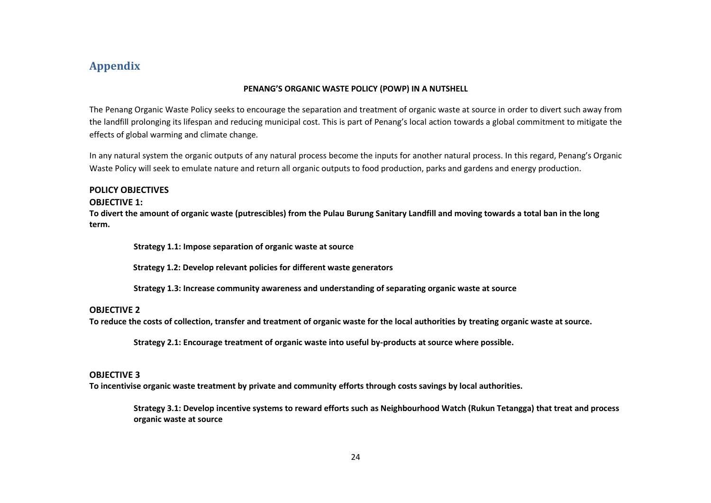# **Appendix**

#### **PENANG'S ORGANIC WASTE POLICY (POWP) IN A NUTSHELL**

The Penang Organic Waste Policy seeks to encourage the separation and treatment of organic waste at source in order to divert such away from the landfill prolonging its lifespan and reducing municipal cost. This is part of Penang's local action towards a global commitment to mitigate the effects of global warming and climate change.

In any natural system the organic outputs of any natural process become the inputs for another natural process. In this regard, Penang's Organic Waste Policy will seek to emulate nature and return all organic outputs to food production, parks and gardens and energy production.

# **POLICY OBJECTIVES**

#### **OBJECTIVE 1:**

**To divert the amount of organic waste (putrescibles) from the Pulau Burung Sanitary Landfill and moving towards a total ban in the long term.**

**Strategy 1.1: Impose separation of organic waste at source**

**Strategy 1.2: Develop relevant policies for different waste generators**

**Strategy 1.3: Increase community awareness and understanding of separating organic waste at source**

#### **OBJECTIVE 2**

**To reduce the costs of collection, transfer and treatment of organic waste for the local authorities by treating organic waste at source.**

**Strategy 2.1: Encourage treatment of organic waste into useful by-products at source where possible.**

#### **OBJECTIVE 3**

**To incentivise organic waste treatment by private and community efforts through costs savings by local authorities.**

**Strategy 3.1: Develop incentive systems to reward efforts such as Neighbourhood Watch (Rukun Tetangga) that treat and process organic waste at source**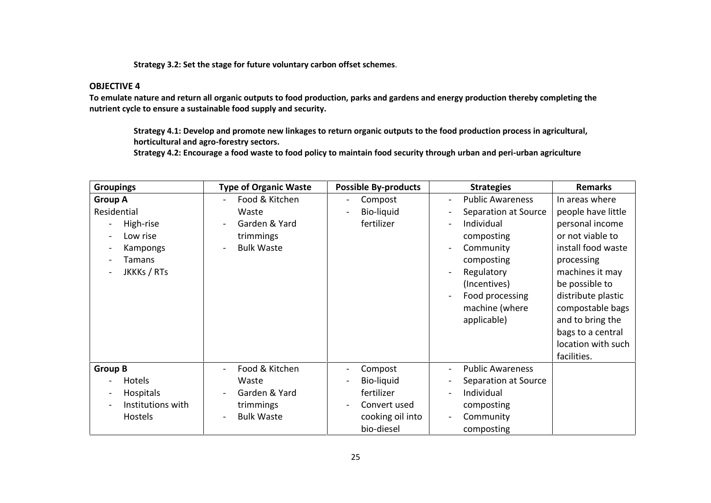**Strategy 3.2: Set the stage for future voluntary carbon offset schemes**.

#### **OBJECTIVE 4**

**To emulate nature and return all organic outputs to food production, parks and gardens and energy production thereby completing the nutrient cycle to ensure a sustainable food supply and security.**

**Strategy 4.1: Develop and promote new linkages to return organic outputs to the food production process in agricultural, horticultural and agro-forestry sectors.**

**Strategy 4.2: Encourage a food waste to food policy to maintain food security through urban and peri-urban agriculture**

| <b>Groupings</b>                                                                            | <b>Type of Organic Waste</b>                                                                                                               | <b>Possible By-products</b>                                                                                                         | <b>Strategies</b><br><b>Remarks</b>                                                                                                                                                                                                                                                                                                                                                                                                                                                                                                                                                                                                    |  |
|---------------------------------------------------------------------------------------------|--------------------------------------------------------------------------------------------------------------------------------------------|-------------------------------------------------------------------------------------------------------------------------------------|----------------------------------------------------------------------------------------------------------------------------------------------------------------------------------------------------------------------------------------------------------------------------------------------------------------------------------------------------------------------------------------------------------------------------------------------------------------------------------------------------------------------------------------------------------------------------------------------------------------------------------------|--|
| <b>Group A</b><br>Residential<br>High-rise<br>Low rise<br>Kampongs<br>Tamans<br>JKKKs / RTs | Food & Kitchen<br>$\blacksquare$<br>Waste<br>Garden & Yard<br>trimmings<br><b>Bulk Waste</b><br>$\blacksquare$                             | Compost<br>$\blacksquare$<br>Bio-liquid<br>$\overline{\phantom{a}}$<br>fertilizer                                                   | <b>Public Awareness</b><br>In areas where<br>$\overline{\phantom{a}}$<br>people have little<br>Separation at Source<br>$\overline{\phantom{a}}$<br>Individual<br>personal income<br>$\overline{\phantom{a}}$<br>or not viable to<br>composting<br>install food waste<br>Community<br>$\blacksquare$<br>composting<br>processing<br>machines it may<br>Regulatory<br>$\overline{\phantom{a}}$<br>be possible to<br>(Incentives)<br>Food processing<br>distribute plastic<br>$\overline{\phantom{a}}$<br>compostable bags<br>machine (where<br>applicable)<br>and to bring the<br>bags to a central<br>location with such<br>facilities. |  |
| <b>Group B</b><br>Hotels<br>Hospitals<br>Institutions with<br>Hostels                       | Food & Kitchen<br>$\overline{\phantom{a}}$<br>Waste<br>Garden & Yard<br>$\blacksquare$<br>trimmings<br><b>Bulk Waste</b><br>$\blacksquare$ | Compost<br>$\blacksquare$<br>Bio-liquid<br>fertilizer<br>Convert used<br>$\overline{\phantom{a}}$<br>cooking oil into<br>bio-diesel | <b>Public Awareness</b><br>$\overline{\phantom{a}}$<br>Separation at Source<br>$\overline{\phantom{a}}$<br>Individual<br>$\overline{\phantom{a}}$<br>composting<br>Community<br>$\overline{\phantom{a}}$<br>composting                                                                                                                                                                                                                                                                                                                                                                                                                 |  |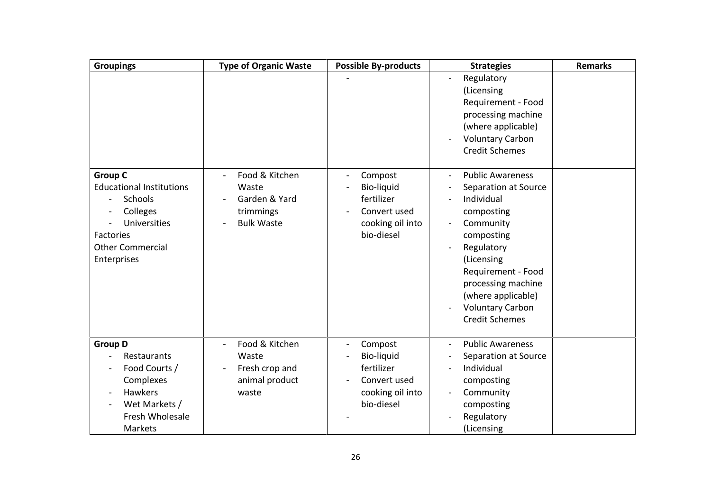| <b>Groupings</b>                                                                                                                                | <b>Type of Organic Waste</b>                                               | <b>Possible By-products</b>                                                                  | <b>Strategies</b>                                                                                                                                                                                                                                        | <b>Remarks</b> |
|-------------------------------------------------------------------------------------------------------------------------------------------------|----------------------------------------------------------------------------|----------------------------------------------------------------------------------------------|----------------------------------------------------------------------------------------------------------------------------------------------------------------------------------------------------------------------------------------------------------|----------------|
|                                                                                                                                                 |                                                                            |                                                                                              | Regulatory<br>(Licensing<br>Requirement - Food<br>processing machine<br>(where applicable)<br><b>Voluntary Carbon</b><br><b>Credit Schemes</b>                                                                                                           |                |
| <b>Group C</b><br><b>Educational Institutions</b><br>Schools<br>Colleges<br>Universities<br>Factories<br><b>Other Commercial</b><br>Enterprises | Food & Kitchen<br>Waste<br>Garden & Yard<br>trimmings<br><b>Bulk Waste</b> | Compost<br><b>Bio-liquid</b><br>fertilizer<br>Convert used<br>cooking oil into<br>bio-diesel | <b>Public Awareness</b><br>Separation at Source<br>Individual<br>composting<br>Community<br>composting<br>Regulatory<br>(Licensing<br>Requirement - Food<br>processing machine<br>(where applicable)<br><b>Voluntary Carbon</b><br><b>Credit Schemes</b> |                |
| <b>Group D</b><br>Restaurants<br>Food Courts /<br>Complexes<br><b>Hawkers</b><br>Wet Markets /<br>Fresh Wholesale<br>Markets                    | Food & Kitchen<br>Waste<br>Fresh crop and<br>animal product<br>waste       | Compost<br>Bio-liquid<br>fertilizer<br>Convert used<br>cooking oil into<br>bio-diesel        | <b>Public Awareness</b><br>Separation at Source<br>Individual<br>composting<br>Community<br>composting<br>Regulatory<br>(Licensing                                                                                                                       |                |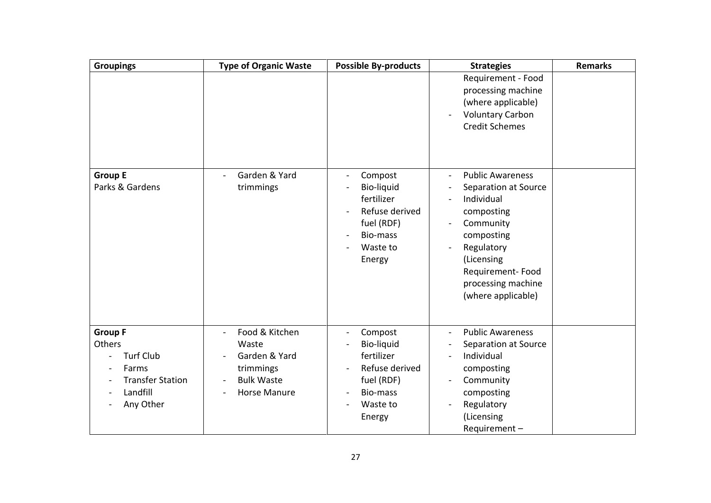| <b>Groupings</b>                                                                                          | <b>Type of Organic Waste</b>                                                                                                                       | <b>Possible By-products</b>                                                                                                       | <b>Strategies</b>                                                                                                                                                                                  | <b>Remarks</b> |
|-----------------------------------------------------------------------------------------------------------|----------------------------------------------------------------------------------------------------------------------------------------------------|-----------------------------------------------------------------------------------------------------------------------------------|----------------------------------------------------------------------------------------------------------------------------------------------------------------------------------------------------|----------------|
|                                                                                                           |                                                                                                                                                    |                                                                                                                                   | Requirement - Food<br>processing machine<br>(where applicable)<br><b>Voluntary Carbon</b><br><b>Credit Schemes</b>                                                                                 |                |
| <b>Group E</b><br>Parks & Gardens                                                                         | Garden & Yard<br>trimmings                                                                                                                         | Compost<br>$\overline{\phantom{0}}$<br>Bio-liquid<br>fertilizer<br>Refuse derived<br>fuel (RDF)<br>Bio-mass<br>Waste to<br>Energy | <b>Public Awareness</b><br>Separation at Source<br>Individual<br>composting<br>Community<br>composting<br>Regulatory<br>(Licensing<br>Requirement-Food<br>processing machine<br>(where applicable) |                |
| <b>Group F</b><br>Others<br><b>Turf Club</b><br>Farms<br><b>Transfer Station</b><br>Landfill<br>Any Other | Food & Kitchen<br>$\overline{\phantom{a}}$<br>Waste<br>Garden & Yard<br>trimmings<br><b>Bulk Waste</b><br>Horse Manure<br>$\overline{\phantom{0}}$ | Compost<br>$\overline{\phantom{0}}$<br>Bio-liquid<br>fertilizer<br>Refuse derived<br>fuel (RDF)<br>Bio-mass<br>Waste to<br>Energy | <b>Public Awareness</b><br>$\blacksquare$<br>Separation at Source<br>Individual<br>composting<br>Community<br>composting<br>Regulatory<br>(Licensing<br>Requirement-                               |                |